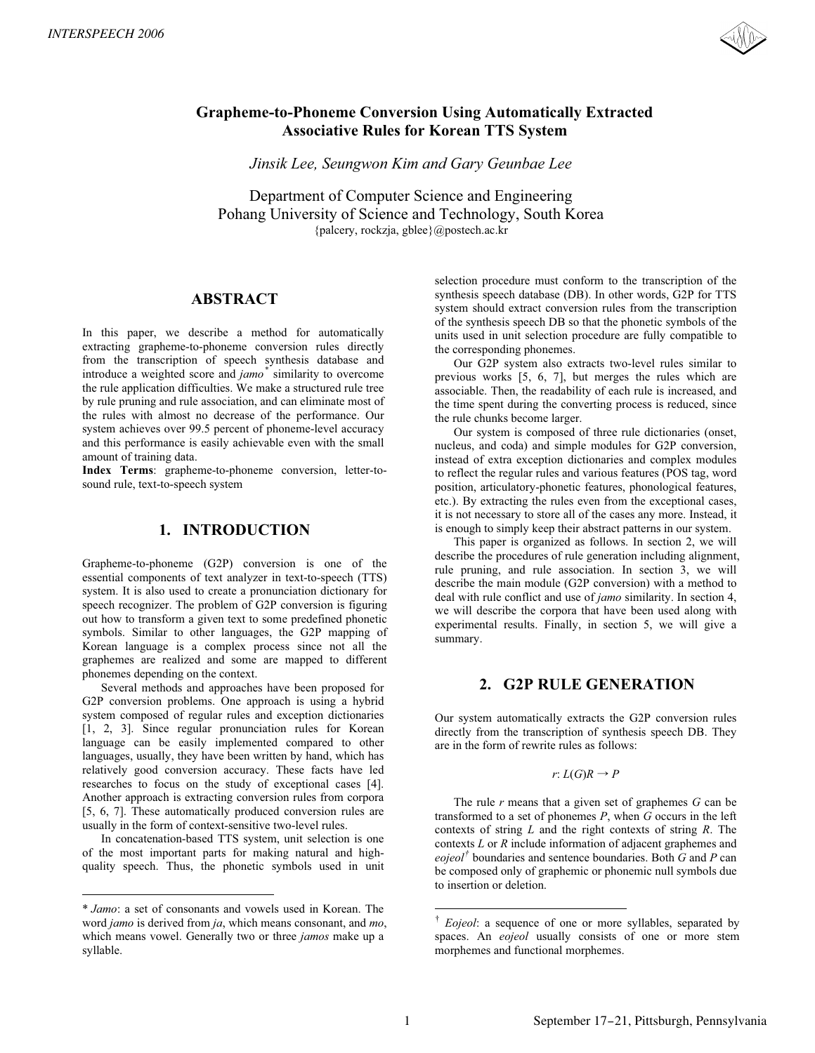

# **Grapheme-to-Phoneme Conversion Using Automatically Extracted Associative Rules for Korean TTS System**

*Jinsik Lee, Seungwon Kim and Gary Geunbae Lee* 

Department of Computer Science and Engineering Pohang University of Science and Technology, South Korea {palcery, rockzja, gblee}@postech.ac.kr

# **ABSTRACT**

In this paper, we describe a method for automatically extracting grapheme-to-phoneme conversion rules directly from the transcription of speech synthesis database and introduce a weighted score and *jamo\** similarity to overcome the rule application difficulties. We make a structured rule tree by rule pruning and rule association, and can eliminate most of the rules with almost no decrease of the performance. Our system achieves over 99.5 percent of phoneme-level accuracy and this performance is easily achievable even with the small amount of training data.

**Index Terms**: grapheme-to-phoneme conversion, letter-tosound rule, text-to-speech system

## **1. INTRODUCTION**

Grapheme-to-phoneme (G2P) conversion is one of the essential components of text analyzer in text-to-speech (TTS) system. It is also used to create a pronunciation dictionary for speech recognizer. The problem of G2P conversion is figuring out how to transform a given text to some predefined phonetic symbols. Similar to other languages, the G2P mapping of Korean language is a complex process since not all the graphemes are realized and some are mapped to different phonemes depending on the context.

Several methods and approaches have been proposed for G2P conversion problems. One approach is using a hybrid system composed of regular rules and exception dictionaries [1, 2, 3]. Since regular pronunciation rules for Korean language can be easily implemented compared to other languages, usually, they have been written by hand, which has relatively good conversion accuracy. These facts have led researches to focus on the study of exceptional cases [4]. Another approach is extracting conversion rules from corpora [5, 6, 7]. These automatically produced conversion rules are usually in the form of context-sensitive two-level rules.

In concatenation-based TTS system, unit selection is one of the most important parts for making natural and highquality speech. Thus, the phonetic symbols used in unit selection procedure must conform to the transcription of the synthesis speech database (DB). In other words, G2P for TTS system should extract conversion rules from the transcription of the synthesis speech DB so that the phonetic symbols of the units used in unit selection procedure are fully compatible to the corresponding phonemes.

Our G2P system also extracts two-level rules similar to previous works [5, 6, 7], but merges the rules which are associable. Then, the readability of each rule is increased, and the time spent during the converting process is reduced, since the rule chunks become larger.

Our system is composed of three rule dictionaries (onset, nucleus, and coda) and simple modules for G2P conversion, instead of extra exception dictionaries and complex modules to reflect the regular rules and various features (POS tag, word position, articulatory-phonetic features, phonological features, etc.). By extracting the rules even from the exceptional cases, it is not necessary to store all of the cases any more. Instead, it is enough to simply keep their abstract patterns in our system.

This paper is organized as follows. In section 2, we will describe the procedures of rule generation including alignment, rule pruning, and rule association. In section 3, we will describe the main module (G2P conversion) with a method to deal with rule conflict and use of *jamo* similarity. In section 4, we will describe the corpora that have been used along with experimental results. Finally, in section 5, we will give a summary.

### **2. G2P RULE GENERATION**

Our system automatically extracts the G2P conversion rules directly from the transcription of synthesis speech DB. They are in the form of rewrite rules as follows:

$$
r: L(G)R \to P
$$

The rule *r* means that a given set of graphemes *G* can be transformed to a set of phonemes *P*, when *G* occurs in the left contexts of string *L* and the right contexts of string *R*. The contexts *L* or *R* include information of adjacent graphemes and *eojeol†* boundaries and sentence boundaries. Both *G* and *P* can be composed only of graphemic or phonemic null symbols due to insertion or deletion.

<sup>\*</sup> *Jamo*: a set of consonants and vowels used in Korean. The word *jamo* is derived from *ja*, which means consonant, and *mo*, which means vowel. Generally two or three *jamos* make up a syllable.

<sup>†</sup> *Eojeol*: a sequence of one or more syllables, separated by spaces. An *eojeol* usually consists of one or more stem morphemes and functional morphemes.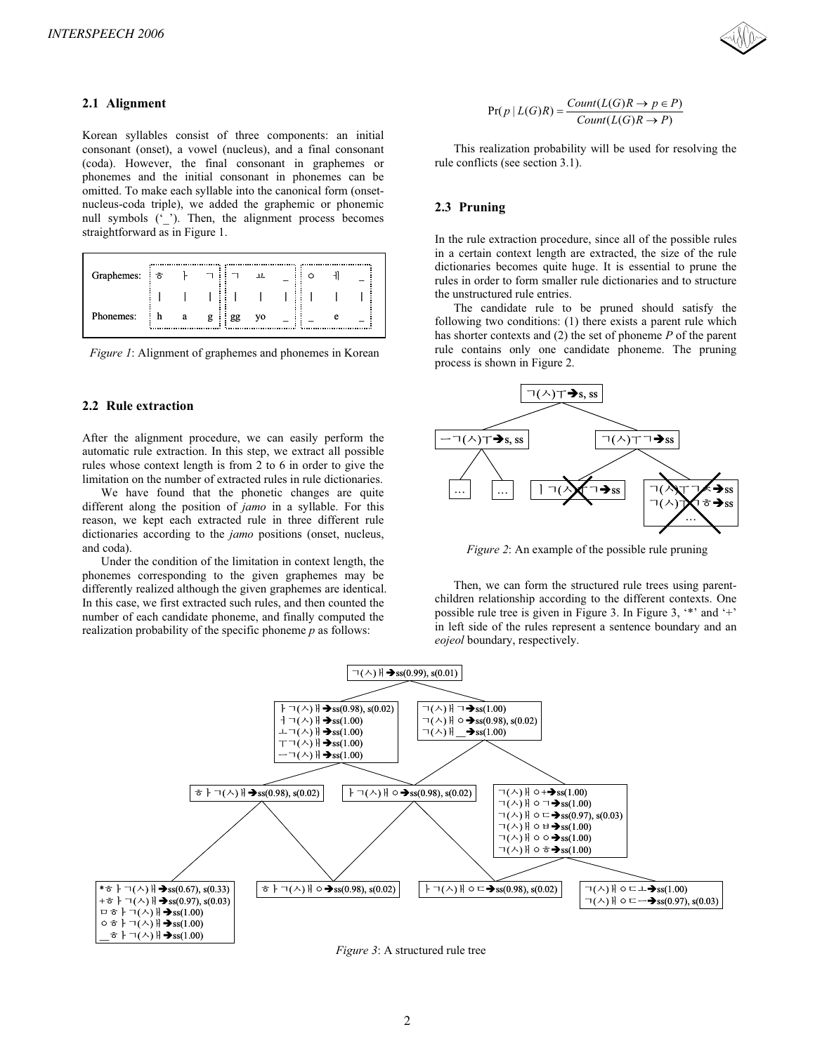#### **2.1 Alignment**

Korean syllables consist of three components: an initial consonant (onset), a vowel (nucleus), and a final consonant (coda). However, the final consonant in graphemes or phonemes and the initial consonant in phonemes can be omitted. To make each syllable into the canonical form (onsetnucleus-coda triple), we added the graphemic or phonemic null symbols ('\_'). Then, the alignment process becomes straightforward as in Figure 1.

| Graphemes: : ठ |   |   |    |                    |    |  |  |
|----------------|---|---|----|--------------------|----|--|--|
|                |   |   |    |                    |    |  |  |
| Phonemes:      | h | a | g: | $\frac{1}{2}$ i gg | yo |  |  |

*Figure 1*: Alignment of graphemes and phonemes in Korean

### **2.2 Rule extraction**

After the alignment procedure, we can easily perform the automatic rule extraction. In this step, we extract all possible rules whose context length is from 2 to 6 in order to give the limitation on the number of extracted rules in rule dictionaries.

We have found that the phonetic changes are quite different along the position of *jamo* in a syllable. For this reason, we kept each extracted rule in three different rule dictionaries according to the *jamo* positions (onset, nucleus, and coda).

Under the condition of the limitation in context length, the phonemes corresponding to the given graphemes may be differently realized although the given graphemes are identical. In this case, we first extracted such rules, and then counted the number of each candidate phoneme, and finally computed the realization probability of the specific phoneme *p* as follows:

$$
Pr(p | L(G)R) = \frac{Count(L(G)R \to p \in P)}{Count(L(G)R \to P)}
$$

This realization probability will be used for resolving the rule conflicts (see section 3.1).

### **2.3 Pruning**

In the rule extraction procedure, since all of the possible rules in a certain context length are extracted, the size of the rule dictionaries becomes quite huge. It is essential to prune the rules in order to form smaller rule dictionaries and to structure the unstructured rule entries.

The candidate rule to be pruned should satisfy the following two conditions: (1) there exists a parent rule which has shorter contexts and (2) the set of phoneme *P* of the parent rule contains only one candidate phoneme. The pruning process is shown in Figure 2.



*Figure 2*: An example of the possible rule pruning

Then, we can form the structured rule trees using parentchildren relationship according to the different contexts. One possible rule tree is given in Figure 3. In Figure 3, '\*' and '+' in left side of the rules represent a sentence boundary and an *eojeol* boundary, respectively.



*Figure 3*: A structured rule tree

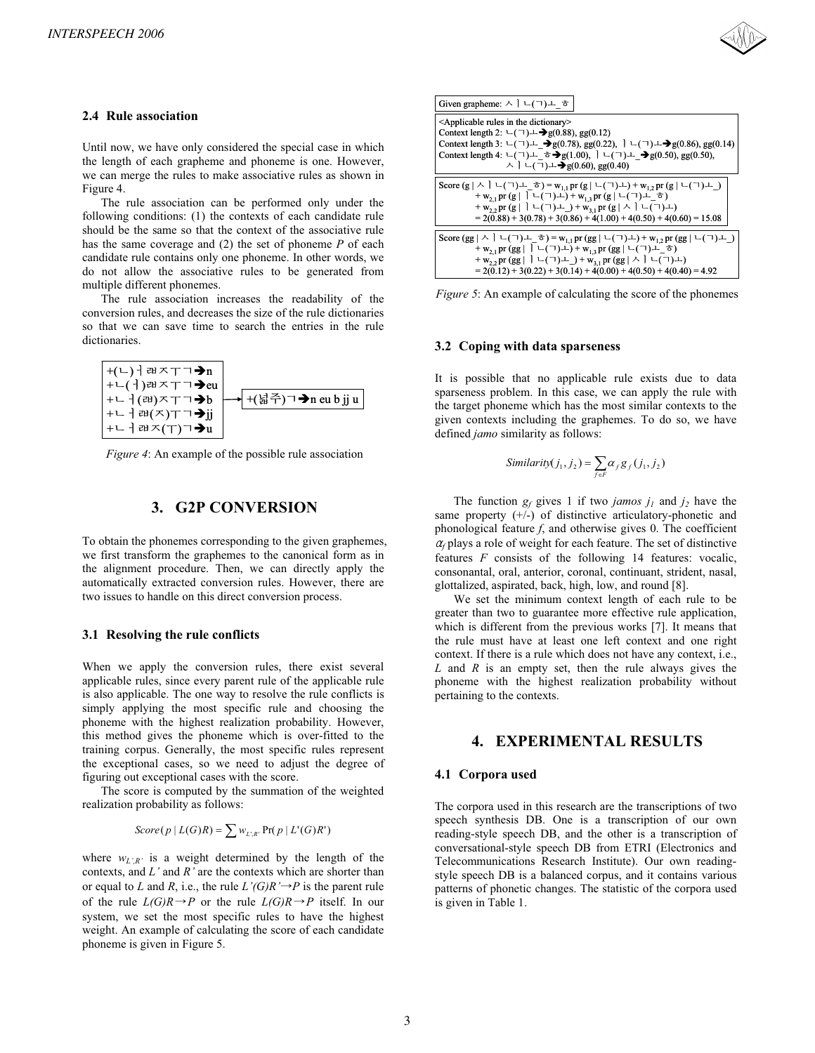#### **2.4 Rule association**

Until now, we have only considered the special case in which the length of each grapheme and phoneme is one. However, we can merge the rules to make associative rules as shown in Figure 4.

The rule association can be performed only under the following conditions: (1) the contexts of each candidate rule should be the same so that the context of the associative rule has the same coverage and (2) the set of phoneme *P* of each candidate rule contains only one phoneme. In other words, we do not allow the associative rules to be generated from multiple different phonemes.

The rule association increases the readability of the conversion rules, and decreases the size of the rule dictionaries so that we can save time to search the entries in the rule dictionaries.



*Figure 4*: An example of the possible rule association

## **3. G2P CONVERSION**

To obtain the phonemes corresponding to the given graphemes, we first transform the graphemes to the canonical form as in the alignment procedure. Then, we can directly apply the automatically extracted conversion rules. However, there are two issues to handle on this direct conversion process.

#### **3.1 Resolving the rule conflicts**

When we apply the conversion rules, there exist several applicable rules, since every parent rule of the applicable rule is also applicable. The one way to resolve the rule conflicts is simply applying the most specific rule and choosing the phoneme with the highest realization probability. However, this method gives the phoneme which is over-fitted to the training corpus. Generally, the most specific rules represent the exceptional cases, so we need to adjust the degree of figuring out exceptional cases with the score.

The score is computed by the summation of the weighted realization probability as follows:

$$
Score(p | L(G)R) = \sum w_{L',R'} Pr(p | L'(G)R')
$$

where  $w_{L'R'}$  is a weight determined by the length of the contexts, and *L'* and *R'* are the contexts which are shorter than or equal to *L* and *R*, i.e., the rule  $L'(G)R' \rightarrow P$  is the parent rule of the rule  $L(G)R \rightarrow P$  or the rule  $L(G)R \rightarrow P$  itself. In our system, we set the most specific rules to have the highest weight. An example of calculating the score of each candidate phoneme is given in Figure 5.



*Figure 5*: An example of calculating the score of the phonemes

#### **3.2 Coping with data sparseness**

It is possible that no applicable rule exists due to data sparseness problem. In this case, we can apply the rule with the target phoneme which has the most similar contexts to the given contexts including the graphemes. To do so, we have defined *jamo* similarity as follows:

$$
Similarity(j_1, j_2) = \sum_{f \in F} \alpha_f g_f(j_1, j_2)
$$

The function  $g_f$  gives 1 if two *jamos*  $j_l$  and  $j_2$  have the same property  $(+/-)$  of distinctive articulatory-phonetic and phonological feature *f*, and otherwise gives 0. The coefficient  $\alpha_f$  plays a role of weight for each feature. The set of distinctive features *F* consists of the following 14 features: vocalic, consonantal, oral, anterior, coronal, continuant, strident, nasal, glottalized, aspirated, back, high, low, and round [8].

We set the minimum context length of each rule to be greater than two to guarantee more effective rule application, which is different from the previous works [7]. It means that the rule must have at least one left context and one right context. If there is a rule which does not have any context, i.e., *L* and *R* is an empty set, then the rule always gives the phoneme with the highest realization probability without pertaining to the contexts.

## **4. EXPERIMENTAL RESULTS**

#### **4.1 Corpora used**

The corpora used in this research are the transcriptions of two speech synthesis DB. One is a transcription of our own reading-style speech DB, and the other is a transcription of conversational-style speech DB from ETRI (Electronics and Telecommunications Research Institute). Our own readingstyle speech DB is a balanced corpus, and it contains various patterns of phonetic changes. The statistic of the corpora used is given in Table 1.